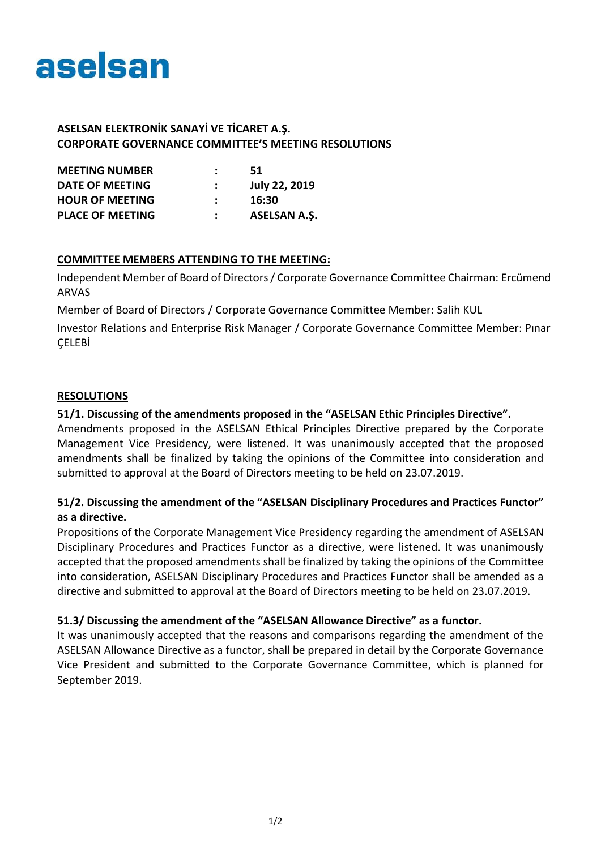

### **ASELSAN ELEKTRONİK SANAYİ VE TİCARET A.Ş. CORPORATE GOVERNANCE COMMITTEE'S MEETING RESOLUTIONS**

| <b>MEETING NUMBER</b>   | 51                   |
|-------------------------|----------------------|
| DATE OF MEETING         | <b>July 22, 2019</b> |
| <b>HOUR OF MEETING</b>  | 16:30                |
| <b>PLACE OF MEETING</b> | <b>ASELSAN A.S.</b>  |

### **COMMITTEE MEMBERS ATTENDING TO THE MEETING:**

Independent Member of Board of Directors / Corporate Governance Committee Chairman: Ercümend ARVAS

Member of Board of Directors / Corporate Governance Committee Member: Salih KUL

Investor Relations and Enterprise Risk Manager / Corporate Governance Committee Member: Pınar ÇELEBİ

#### **RESOLUTIONS**

### **51/1. Discussing of the amendments proposed in the "ASELSAN Ethic Principles Directive".**

Amendments proposed in the ASELSAN Ethical Principles Directive prepared by the Corporate Management Vice Presidency, were listened. It was unanimously accepted that the proposed amendments shall be finalized by taking the opinions of the Committee into consideration and submitted to approval at the Board of Directors meeting to be held on 23.07.2019.

# **51/2. Discussing the amendment of the "ASELSAN Disciplinary Procedures and Practices Functor" as a directive.**

Propositions of the Corporate Management Vice Presidency regarding the amendment of ASELSAN Disciplinary Procedures and Practices Functor as a directive, were listened. It was unanimously accepted that the proposed amendments shall be finalized by taking the opinions of the Committee into consideration, ASELSAN Disciplinary Procedures and Practices Functor shall be amended as a directive and submitted to approval at the Board of Directors meeting to be held on 23.07.2019.

# **51.3/ Discussing the amendment of the "ASELSAN Allowance Directive" as a functor.**

It was unanimously accepted that the reasons and comparisons regarding the amendment of the ASELSAN Allowance Directive as a functor, shall be prepared in detail by the Corporate Governance Vice President and submitted to the Corporate Governance Committee, which is planned for September 2019.